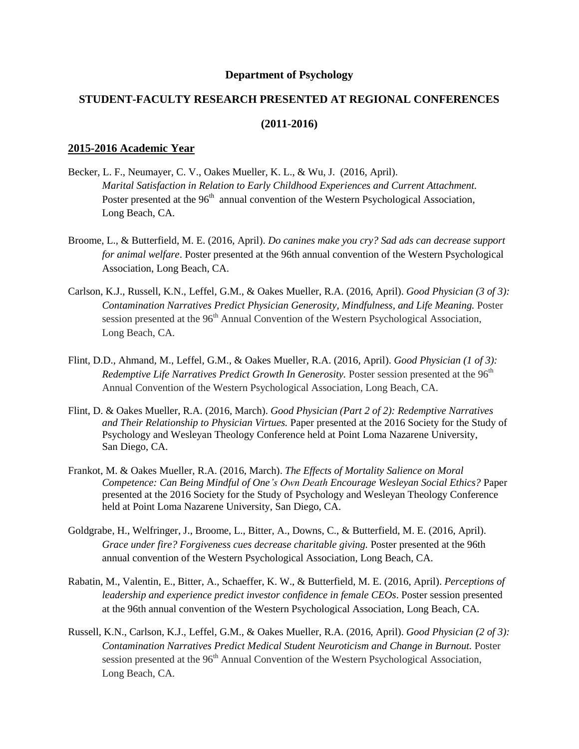#### **Department of Psychology**

# **STUDENT-FACULTY RESEARCH PRESENTED AT REGIONAL CONFERENCES**

# **(2011-2016)**

### **2015-2016 Academic Year**

- Becker, L. F., Neumayer, C. V., Oakes Mueller, K. L., & Wu, J. (2016, April). *Marital Satisfaction in Relation to Early Childhood Experiences and Current Attachment.*  Poster presented at the 96<sup>th</sup> annual convention of the Western Psychological Association, Long Beach, CA.
- Broome, L., & Butterfield, M. E. (2016, April). *Do canines make you cry? Sad ads can decrease support for animal welfare*. Poster presented at the 96th annual convention of the Western Psychological Association, Long Beach, CA.
- Carlson, K.J., Russell, K.N., Leffel, G.M., & Oakes Mueller, R.A. (2016, April). *Good Physician (3 of 3): Contamination Narratives Predict Physician Generosity, Mindfulness, and Life Meaning.* Poster session presented at the 96<sup>th</sup> Annual Convention of the Western Psychological Association, Long Beach, CA.
- Flint, D.D., Ahmand, M., Leffel, G.M., & Oakes Mueller, R.A. (2016, April). *Good Physician (1 of 3): Redemptive Life Narratives Predict Growth In Generosity.* Poster session presented at the 96<sup>th</sup> Annual Convention of the Western Psychological Association, Long Beach, CA.
- Flint, D. & Oakes Mueller, R.A. (2016, March). *Good Physician (Part 2 of 2): Redemptive Narratives and Their Relationship to Physician Virtues.* Paper presented at the 2016 Society for the Study of Psychology and Wesleyan Theology Conference held at Point Loma Nazarene University, San Diego, CA.
- Frankot, M. & Oakes Mueller, R.A. (2016, March). *The Effects of Mortality Salience on Moral Competence: Can Being Mindful of One's Own Death Encourage Wesleyan Social Ethics?* Paper presented at the 2016 Society for the Study of Psychology and Wesleyan Theology Conference held at Point Loma Nazarene University, San Diego, CA.
- Goldgrabe, H., Welfringer, J., Broome, L., Bitter, A., Downs, C., & Butterfield, M. E. (2016, April). *Grace under fire? Forgiveness cues decrease charitable giving.* Poster presented at the 96th annual convention of the Western Psychological Association, Long Beach, CA.
- Rabatin, M., Valentin, E., Bitter, A., Schaeffer, K. W., & Butterfield, M. E. (2016, April). *Perceptions of leadership and experience predict investor confidence in female CEOs*. Poster session presented at the 96th annual convention of the Western Psychological Association, Long Beach, CA.
- Russell, K.N., Carlson, K.J., Leffel, G.M., & Oakes Mueller, R.A. (2016, April). *Good Physician (2 of 3): Contamination Narratives Predict Medical Student Neuroticism and Change in Burnout.* Poster session presented at the 96<sup>th</sup> Annual Convention of the Western Psychological Association, Long Beach, CA.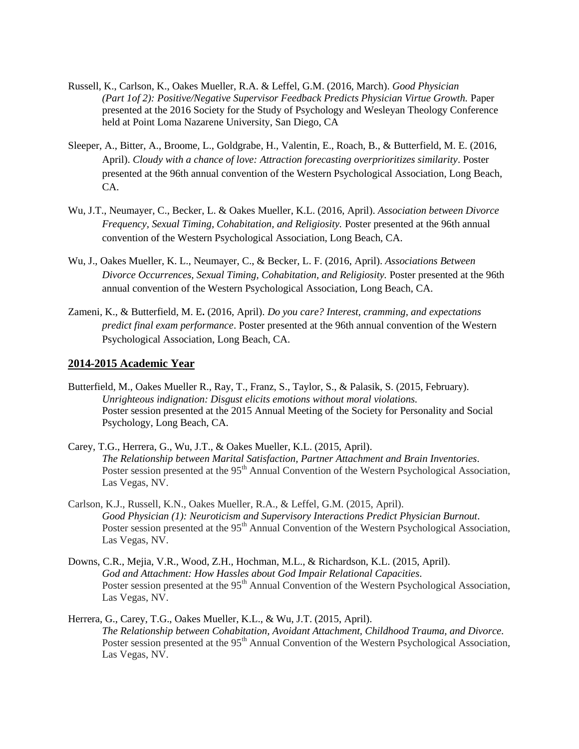- Russell, K., Carlson, K., Oakes Mueller, R.A. & Leffel, G.M. (2016, March). *Good Physician (Part 1of 2): Positive/Negative Supervisor Feedback Predicts Physician Virtue Growth.* Paper presented at the 2016 Society for the Study of Psychology and Wesleyan Theology Conference held at Point Loma Nazarene University, San Diego, CA
- Sleeper, A., Bitter, A., Broome, L., Goldgrabe, H., Valentin, E., Roach, B., & Butterfield, M. E. (2016, April). *Cloudy with a chance of love: Attraction forecasting overprioritizes similarity*. Poster presented at the 96th annual convention of the Western Psychological Association, Long Beach, CA.
- Wu, J.T., Neumayer, C., Becker, L. & Oakes Mueller, K.L. (2016, April). *Association between Divorce Frequency, Sexual Timing, Cohabitation, and Religiosity.* Poster presented at the 96th annual convention of the Western Psychological Association, Long Beach, CA.
- Wu, J., Oakes Mueller, K. L., Neumayer, C., & Becker, L. F. (2016, April). *Associations Between Divorce Occurrences, Sexual Timing, Cohabitation, and Religiosity.* Poster presented at the 96th annual convention of the Western Psychological Association, Long Beach, CA.
- Zameni, K., & Butterfield, M. E**.** (2016, April). *Do you care? Interest, cramming, and expectations predict final exam performance*. Poster presented at the 96th annual convention of the Western Psychological Association, Long Beach, CA.

# **2014-2015 Academic Year**

- Butterfield, M., Oakes Mueller R., Ray, T., Franz, S., Taylor, S., & Palasik, S. (2015, February). *Unrighteous indignation: Disgust elicits emotions without moral violations.* Poster session presented at the 2015 Annual Meeting of the Society for Personality and Social Psychology, Long Beach, CA.
- Carey, T.G., Herrera, G., Wu, J.T., & Oakes Mueller, K.L. (2015, April). *The Relationship between Marital Satisfaction, Partner Attachment and Brain Inventories.* Poster session presented at the 95<sup>th</sup> Annual Convention of the Western Psychological Association, Las Vegas, NV.
- Carlson, K.J., Russell, K.N., Oakes Mueller, R.A., & Leffel, G.M. (2015, April). *Good Physician (1): Neuroticism and Supervisory Interactions Predict Physician Burnout.* Poster session presented at the 95<sup>th</sup> Annual Convention of the Western Psychological Association, Las Vegas, NV.
- Downs, C.R., Mejia, V.R., Wood, Z.H., Hochman, M.L., & Richardson, K.L. (2015, April). *God and Attachment: How Hassles about God Impair Relational Capacities.* Poster session presented at the 95<sup>th</sup> Annual Convention of the Western Psychological Association, Las Vegas, NV.
- Herrera, G., Carey, T.G., Oakes Mueller, K.L., & Wu, J.T. (2015, April). *The Relationship between Cohabitation, Avoidant Attachment, Childhood Trauma, and Divorce.* Poster session presented at the 95<sup>th</sup> Annual Convention of the Western Psychological Association, Las Vegas, NV.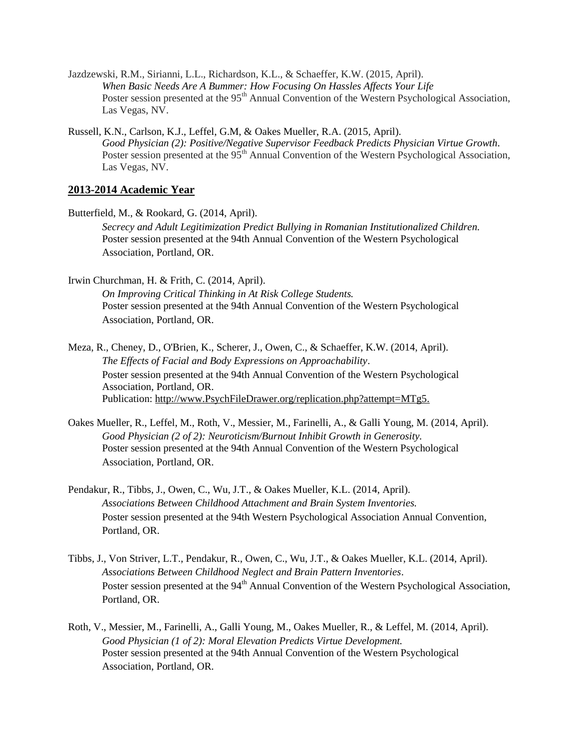- Jazdzewski, R.M., Sirianni, L.L., Richardson, K.L., & Schaeffer, K.W. (2015, April). *When Basic Needs Are A Bummer: How Focusing On Hassles Affects Your Life* Poster session presented at the 95<sup>th</sup> Annual Convention of the Western Psychological Association, Las Vegas, NV.
- Russell, K.N., Carlson, K.J., Leffel, G.M, & Oakes Mueller, R.A. (2015, April). *Good Physician (2): Positive/Negative Supervisor Feedback Predicts Physician Virtue Growth.* Poster session presented at the 95<sup>th</sup> Annual Convention of the Western Psychological Association, Las Vegas, NV.

# **2013-2014 Academic Year**

- Butterfield, M., & Rookard, G. (2014, April). *Secrecy and Adult Legitimization Predict Bullying in Romanian Institutionalized Children.* Poster session presented at the 94th Annual Convention of the Western Psychological Association, Portland, OR.
- Irwin Churchman, H. & Frith, C. (2014, April). *On Improving Critical Thinking in At Risk College Students.* Poster session presented at the 94th Annual Convention of the Western Psychological Association, Portland, OR.
- Meza, R., Cheney, D., O'Brien, K., Scherer, J., Owen, C., & Schaeffer, K.W. (2014, April). *The Effects of Facial and Body Expressions on Approachability*. Poster session presented at the 94th Annual Convention of the Western Psychological Association, Portland, OR. Publication: [http://www.PsychFileDrawer.org/replication.php?attempt=MTg5.](http://www.psychfiledrawer.org/replication.php?attempt=MTg5)
- Oakes Mueller, R., Leffel, M., Roth, V., Messier, M., Farinelli, A., & Galli Young, M. (2014, April). *Good Physician (2 of 2): Neuroticism/Burnout Inhibit Growth in Generosity.* Poster session presented at the 94th Annual Convention of the Western Psychological Association, Portland, OR.
- Pendakur, R., Tibbs, J., Owen, C., Wu, J.T., & Oakes Mueller, K.L. (2014, April). *Associations Between Childhood Attachment and Brain System Inventories.* Poster session presented at the 94th Western Psychological Association Annual Convention, Portland, OR.
- Tibbs, J., Von Striver, L.T., Pendakur, R., Owen, C., Wu, J.T., & Oakes Mueller, K.L. (2014, April). *Associations Between Childhood Neglect and Brain Pattern Inventories*. Poster session presented at the 94<sup>th</sup> Annual Convention of the Western Psychological Association, Portland, OR.
- Roth, V., Messier, M., Farinelli, A., Galli Young, M., Oakes Mueller, R., & Leffel, M. (2014, April). *Good Physician (1 of 2): Moral Elevation Predicts Virtue Development.* Poster session presented at the 94th Annual Convention of the Western Psychological Association, Portland, OR.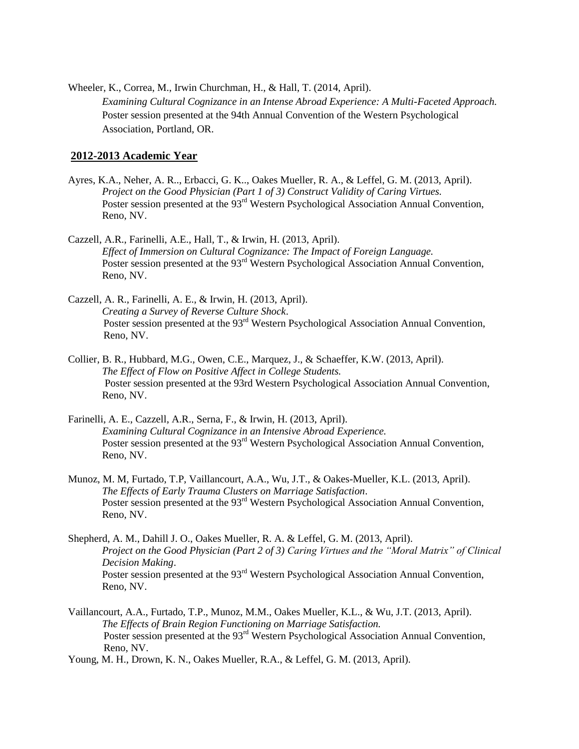Wheeler, K., Correa, M., Irwin Churchman, H., & Hall, T. (2014, April). *Examining Cultural Cognizance in an Intense Abroad Experience: A Multi-Faceted Approach.* Poster session presented at the 94th Annual Convention of the Western Psychological Association, Portland, OR.

## **2012-2013 Academic Year**

- Ayres, K.A., Neher, A. R.., Erbacci, G. K.., Oakes Mueller, R. A., & Leffel, G. M. (2013, April). *Project on the Good Physician (Part 1 of 3) Construct Validity of Caring Virtues.* Poster session presented at the 93<sup>rd</sup> Western Psychological Association Annual Convention, Reno, NV.
- Cazzell, A.R., Farinelli, A.E., Hall, T., & Irwin, H. (2013, April). *Effect of Immersion on Cultural Cognizance: The Impact of Foreign Language.* Poster session presented at the 93<sup>rd</sup> Western Psychological Association Annual Convention, Reno, NV.
- Cazzell, A. R., Farinelli, A. E., & Irwin, H. (2013, April). *Creating a Survey of Reverse Culture Shock*. Poster session presented at the 93<sup>rd</sup> Western Psychological Association Annual Convention, Reno, NV.
- Collier, B. R., Hubbard, M.G., Owen, C.E., Marquez, J., & Schaeffer, K.W. (2013, April). *The Effect of Flow on Positive Affect in College Students.* Poster session presented at the 93rd Western Psychological Association Annual Convention, Reno, NV.
- Farinelli, A. E., Cazzell, A.R., Serna, F., & Irwin, H. (2013, April). *Examining Cultural Cognizance in an Intensive Abroad Experience.* Poster session presented at the 93<sup>rd</sup> Western Psychological Association Annual Convention, Reno, NV.
- Munoz, M. M, Furtado, T.P, Vaillancourt, A.A., Wu, J.T., & Oakes-Mueller, K.L. (2013, April). *The Effects of Early Trauma Clusters on Marriage Satisfaction*. Poster session presented at the 93<sup>rd</sup> Western Psychological Association Annual Convention, Reno, NV.
- Shepherd, A. M., Dahill J. O., Oakes Mueller, R. A. & Leffel, G. M. (2013, April). *Project on the Good Physician (Part 2 of 3) Caring Virtues and the "Moral Matrix" of Clinical Decision Making*. Poster session presented at the 93<sup>rd</sup> Western Psychological Association Annual Convention, Reno, NV.
- Vaillancourt, A.A., Furtado, T.P., Munoz, M.M., Oakes Mueller, K.L., & Wu, J.T. (2013, April). *The Effects of Brain Region Functioning on Marriage Satisfaction.* Poster session presented at the 93<sup>rd</sup> Western Psychological Association Annual Convention, Reno, NV.
- Young, M. H., Drown, K. N., Oakes Mueller, R.A., & Leffel, G. M. (2013, April).